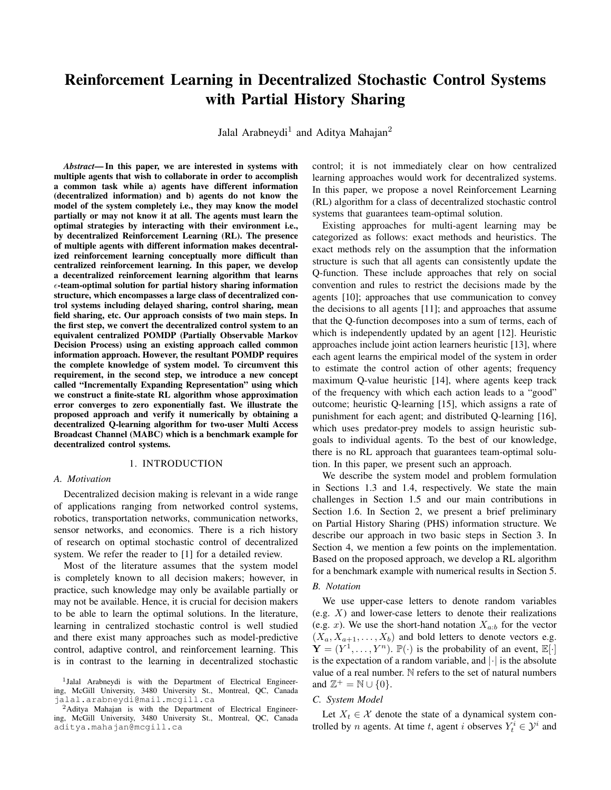# Reinforcement Learning in Decentralized Stochastic Control Systems with Partial History Sharing

Jalal Arabneydi<sup>1</sup> and Aditya Mahajan<sup>2</sup>

*Abstract*— In this paper, we are interested in systems with multiple agents that wish to collaborate in order to accomplish a common task while a) agents have different information (decentralized information) and b) agents do not know the model of the system completely i.e., they may know the model partially or may not know it at all. The agents must learn the optimal strategies by interacting with their environment i.e., by decentralized Reinforcement Learning (RL). The presence of multiple agents with different information makes decentralized reinforcement learning conceptually more difficult than centralized reinforcement learning. In this paper, we develop a decentralized reinforcement learning algorithm that learns  $\epsilon$ -team-optimal solution for partial history sharing information structure, which encompasses a large class of decentralized control systems including delayed sharing, control sharing, mean field sharing, etc. Our approach consists of two main steps. In the first step, we convert the decentralized control system to an equivalent centralized POMDP (Partially Observable Markov Decision Process) using an existing approach called common information approach. However, the resultant POMDP requires the complete knowledge of system model. To circumvent this requirement, in the second step, we introduce a new concept called "Incrementally Expanding Representation" using which we construct a finite-state RL algorithm whose approximation error converges to zero exponentially fast. We illustrate the proposed approach and verify it numerically by obtaining a decentralized Q-learning algorithm for two-user Multi Access Broadcast Channel (MABC) which is a benchmark example for decentralized control systems.

#### 1. INTRODUCTION

#### *A. Motivation*

Decentralized decision making is relevant in a wide range of applications ranging from networked control systems, robotics, transportation networks, communication networks, sensor networks, and economics. There is a rich history of research on optimal stochastic control of decentralized system. We refer the reader to [1] for a detailed review.

Most of the literature assumes that the system model is completely known to all decision makers; however, in practice, such knowledge may only be available partially or may not be available. Hence, it is crucial for decision makers to be able to learn the optimal solutions. In the literature, learning in centralized stochastic control is well studied and there exist many approaches such as model-predictive control, adaptive control, and reinforcement learning. This is in contrast to the learning in decentralized stochastic control; it is not immediately clear on how centralized learning approaches would work for decentralized systems. In this paper, we propose a novel Reinforcement Learning (RL) algorithm for a class of decentralized stochastic control systems that guarantees team-optimal solution.

Existing approaches for multi-agent learning may be categorized as follows: exact methods and heuristics. The exact methods rely on the assumption that the information structure is such that all agents can consistently update the Q-function. These include approaches that rely on social convention and rules to restrict the decisions made by the agents [10]; approaches that use communication to convey the decisions to all agents [11]; and approaches that assume that the Q-function decomposes into a sum of terms, each of which is independently updated by an agent [12]. Heuristic approaches include joint action learners heuristic [13], where each agent learns the empirical model of the system in order to estimate the control action of other agents; frequency maximum Q-value heuristic [14], where agents keep track of the frequency with which each action leads to a "good" outcome; heuristic Q-learning [15], which assigns a rate of punishment for each agent; and distributed Q-learning [16], which uses predator-prey models to assign heuristic subgoals to individual agents. To the best of our knowledge, there is no RL approach that guarantees team-optimal solution. In this paper, we present such an approach.

We describe the system model and problem formulation in Sections 1.3 and 1.4, respectively. We state the main challenges in Section 1.5 and our main contributions in Section 1.6. In Section 2, we present a brief preliminary on Partial History Sharing (PHS) information structure. We describe our approach in two basic steps in Section 3. In Section 4, we mention a few points on the implementation. Based on the proposed approach, we develop a RL algorithm for a benchmark example with numerical results in Section 5.

## *B. Notation*

We use upper-case letters to denote random variables (e.g.  $X$ ) and lower-case letters to denote their realizations (e.g. x). We use the short-hand notation  $X_{a:b}$  for the vector  $(X_a, X_{a+1}, \ldots, X_b)$  and bold letters to denote vectors e.g.  $\mathbf{Y} = (Y^1, \dots, Y^n)$ .  $\mathbb{P}(\cdot)$  is the probability of an event,  $\mathbb{E}[\cdot]$ is the expectation of a random variable, and  $|\cdot|$  is the absolute value of a real number. N refers to the set of natural numbers and  $\mathbb{Z}^+ = \mathbb{N} \cup \{0\}.$ 

#### *C. System Model*

Let  $X_t \in \mathcal{X}$  denote the state of a dynamical system controlled by *n* agents. At time *t*, agent *i* observes  $Y_t^i \in \mathcal{Y}^i$  and

<sup>1</sup> Jalal Arabneydi is with the Department of Electrical Engineering, McGill University, 3480 University St., Montreal, QC, Canada jalal.arabneydi@mail.mcgill.ca

<sup>&</sup>lt;sup>2</sup>Aditya Mahajan is with the Department of Electrical Engineering, McGill University, 3480 University St., Montreal, QC, Canada aditya.mahajan@mcgill.ca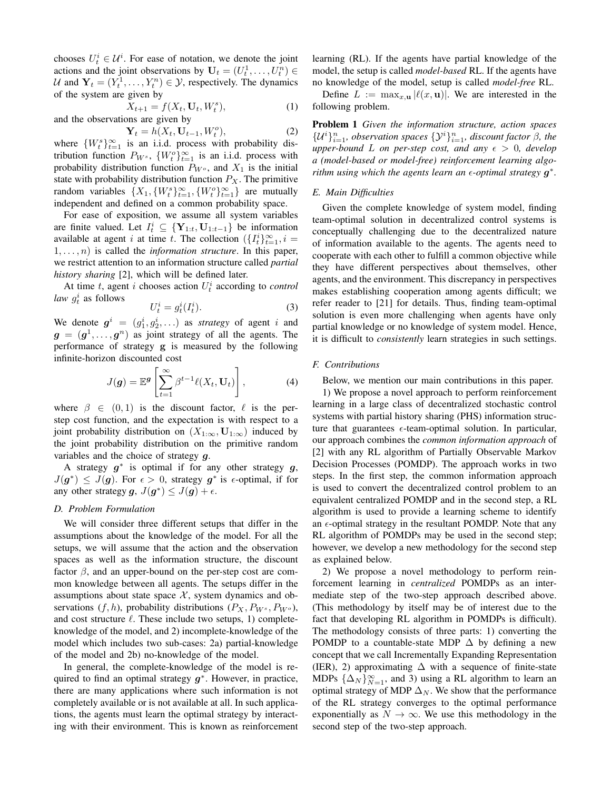chooses  $U_t^i \in \mathcal{U}^i$ . For ease of notation, we denote the joint actions and the joint observations by  $\mathbf{U}_t = (U_t^1, \dots, U_t^n) \in$ U and  $Y_t = (Y_t^1, \dots, Y_t^n) \in \mathcal{Y}$ , respectively. The dynamics of the system are given by

 $X_{t+1} = f(X_t, \mathbf{U}_t, W_t^s)$  $(1)$ and the observations are given by

$$
\mathbf{Y}_t = h(X_t, \mathbf{U}_{t-1}, W_t^o),\tag{2}
$$

where  $\{W_t^s\}_{t=1}^{\infty}$  is an i.i.d. process with probability distribution function  $P_{W^s}$ ,  $\{W_t^o\}_{t=1}^\infty$  is an i.i.d. process with probability distribution function  $P_{W}$ <sup>o</sup>, and  $X_1$  is the initial state with probability distribution function  $P_X$ . The primitive random variables  $\{X_1, \{W_t^s\}_{t=1}^{\infty}, \{W_t^o\}_{t=1}^{\infty}\}\$  are mutually independent and defined on a common probability space.

For ease of exposition, we assume all system variables are finite valued. Let  $I_t^i \subseteq {\mathbf{Y}_{1:t}, \mathbf{U}_{1:t-1}}$  be information available at agent i at time t. The collection  $\left(\left\{I_t^i\right\}_{t=1}^{\infty}, i =$  $1, \ldots, n$ ) is called the *information structure*. In this paper, we restrict attention to an information structure called *partial history sharing* [2], which will be defined later.

At time  $t$ , agent  $i$  chooses action  $U_t^i$  according to *control law*  $g_t^i$  as follows

$$
U_t^i = g_t^i(I_t^i). \tag{3}
$$

We denote  $g^i = (g_1^i, g_2^i, \ldots)$  as *strategy* of agent i and  $g = (g^1, \dots, g^n)$  as joint strategy of all the agents. The performance of strategy g is measured by the following infinite-horizon discounted cost

$$
J(\boldsymbol{g}) = \mathbb{E}^{\boldsymbol{g}} \left[ \sum_{t=1}^{\infty} \beta^{t-1} \ell(X_t, \mathbf{U}_t) \right], \tag{4}
$$

where  $\beta \in (0, 1)$  is the discount factor,  $\ell$  is the perstep cost function, and the expectation is with respect to a joint probability distribution on  $(X_{1:\infty}, \mathbf{U}_{1:\infty})$  induced by the joint probability distribution on the primitive random variables and the choice of strategy  $q$ .

A strategy  $g^*$  is optimal if for any other strategy  $g$ ,  $J(g^*) \leq J(g)$ . For  $\epsilon > 0$ , strategy  $g^*$  is  $\epsilon$ -optimal, if for any other strategy g,  $J(g^*) \leq J(g) + \epsilon$ .

# *D. Problem Formulation*

We will consider three different setups that differ in the assumptions about the knowledge of the model. For all the setups, we will assume that the action and the observation spaces as well as the information structure, the discount factor  $\beta$ , and an upper-bound on the per-step cost are common knowledge between all agents. The setups differ in the assumptions about state space  $X$ , system dynamics and observations  $(f, h)$ , probability distributions  $(P_X, P_{W^s}, P_{W^o})$ , and cost structure  $\ell$ . These include two setups, 1) completeknowledge of the model, and 2) incomplete-knowledge of the model which includes two sub-cases: 2a) partial-knowledge of the model and 2b) no-knowledge of the model.

In general, the complete-knowledge of the model is required to find an optimal strategy  $g^*$ . However, in practice, there are many applications where such information is not completely available or is not available at all. In such applications, the agents must learn the optimal strategy by interacting with their environment. This is known as reinforcement learning (RL). If the agents have partial knowledge of the model, the setup is called *model-based* RL. If the agents have no knowledge of the model, setup is called *model-free* RL.

Define  $L := \max_{x, \mathbf{u}} |\ell(x, \mathbf{u})|$ . We are interested in the following problem.

Problem 1 *Given the information structure, action spaces*  $\{\mathcal{U}^i\}_{i=1}^n$ , observation spaces  $\{\mathcal{Y}^i\}_{i=1}^n$ , discount factor  $\beta$ , the *upper-bound* L on per-step cost, and any  $\epsilon > 0$ , develop *a (model-based or model-free) reinforcement learning algorithm using which the agents learn an*  $\epsilon$ *-optimal strategy*  $g^*$ .

# *E. Main Difficulties*

Given the complete knowledge of system model, finding team-optimal solution in decentralized control systems is conceptually challenging due to the decentralized nature of information available to the agents. The agents need to cooperate with each other to fulfill a common objective while they have different perspectives about themselves, other agents, and the environment. This discrepancy in perspectives makes establishing cooperation among agents difficult; we refer reader to [21] for details. Thus, finding team-optimal solution is even more challenging when agents have only partial knowledge or no knowledge of system model. Hence, it is difficult to *consistently* learn strategies in such settings.

#### *F. Contributions*

Below, we mention our main contributions in this paper.

1) We propose a novel approach to perform reinforcement learning in a large class of decentralized stochastic control systems with partial history sharing (PHS) information structure that guarantees  $\epsilon$ -team-optimal solution. In particular, our approach combines the *common information approach* of [2] with any RL algorithm of Partially Observable Markov Decision Processes (POMDP). The approach works in two steps. In the first step, the common information approach is used to convert the decentralized control problem to an equivalent centralized POMDP and in the second step, a RL algorithm is used to provide a learning scheme to identify an  $\epsilon$ -optimal strategy in the resultant POMDP. Note that any RL algorithm of POMDPs may be used in the second step; however, we develop a new methodology for the second step as explained below.

2) We propose a novel methodology to perform reinforcement learning in *centralized* POMDPs as an intermediate step of the two-step approach described above. (This methodology by itself may be of interest due to the fact that developing RL algorithm in POMDPs is difficult). The methodology consists of three parts: 1) converting the POMDP to a countable-state MDP  $\Delta$  by defining a new concept that we call Incrementally Expanding Representation (IER), 2) approximating  $\Delta$  with a sequence of finite-state MDPs  $\{\Delta_N\}_{N=1}^{\infty}$ , and 3) using a RL algorithm to learn an optimal strategy of MDP  $\Delta_N$ . We show that the performance of the RL strategy converges to the optimal performance exponentially as  $N \to \infty$ . We use this methodology in the second step of the two-step approach.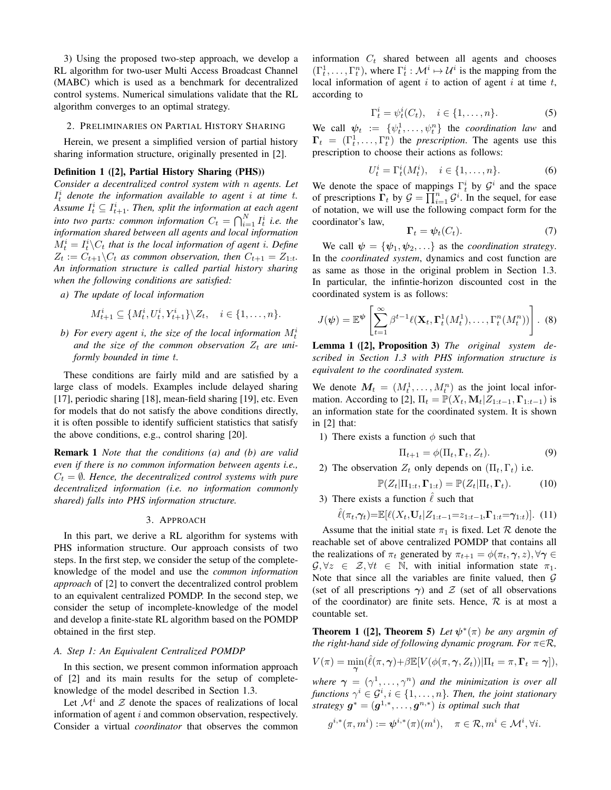3) Using the proposed two-step approach, we develop a RL algorithm for two-user Multi Access Broadcast Channel (MABC) which is used as a benchmark for decentralized control systems. Numerical simulations validate that the RL algorithm converges to an optimal strategy.

## 2. PRELIMINARIES ON PARTIAL HISTORY SHARING

Herein, we present a simplified version of partial history sharing information structure, originally presented in [2].

# Definition 1 ([2], Partial History Sharing (PHS))

*Consider a decentralized control system with* n *agents. Let*  $I_t^i$  denote the information available to agent i at time t. Assume  $I_t^i \subseteq I_{t+1}^i$ . Then, split the information at each agent into two parts: common information  $C_t = \bigcap_{i=1}^N I_t^i$  i.e. the *information shared between all agents and local information*  $M_t^i = I_t^i \backslash C_t$  that is the local information of agent *i*. Define  $Z_t := C_{t+1} \backslash C_t$  *as common observation, then*  $C_{t+1} = Z_{1:t}$ . *An information structure is called partial history sharing when the following conditions are satisfied:*

*a) The update of local information*

$$
M_{t+1}^i \subseteq \{M_t^i, U_t^i, Y_{t+1}^i\} \backslash Z_t, \quad i \in \{1, \ldots, n\}.
$$

b) For every agent *i*, the size of the local information  $M_t^i$ and the size of the common observation  $Z_t$  are uni*formly bounded in time* t*.*

These conditions are fairly mild and are satisfied by a large class of models. Examples include delayed sharing [17], periodic sharing [18], mean-field sharing [19], etc. Even for models that do not satisfy the above conditions directly, it is often possible to identify sufficient statistics that satisfy the above conditions, e.g., control sharing [20].

Remark 1 *Note that the conditions (a) and (b) are valid even if there is no common information between agents i.e.,*  $C_t = \emptyset$ . Hence, the decentralized control systems with pure *decentralized information (i.e. no information commonly shared) falls into PHS information structure.*

#### 3. APPROACH

In this part, we derive a RL algorithm for systems with PHS information structure. Our approach consists of two steps. In the first step, we consider the setup of the completeknowledge of the model and use the *common information approach* of [2] to convert the decentralized control problem to an equivalent centralized POMDP. In the second step, we consider the setup of incomplete-knowledge of the model and develop a finite-state RL algorithm based on the POMDP obtained in the first step.

#### *A. Step 1: An Equivalent Centralized POMDP*

In this section, we present common information approach of [2] and its main results for the setup of completeknowledge of the model described in Section 1.3.

Let  $\mathcal{M}^i$  and  $\mathcal Z$  denote the spaces of realizations of local information of agent  $i$  and common observation, respectively. Consider a virtual *coordinator* that observes the common information  $C_t$  shared between all agents and chooses  $(\Gamma_t^1, \ldots, \Gamma_t^n)$ , where  $\Gamma_t^i : \mathcal{M}^i \mapsto \mathcal{U}^i$  is the mapping from the local information of agent  $i$  to action of agent  $i$  at time  $t$ , according to

$$
\Gamma_t^i = \psi_t^i(C_t), \quad i \in \{1, \dots, n\}.
$$

We call  $\psi_t := \{\psi_t^1, \dots, \psi_t^n\}$  the *coordination law* and  $\Gamma_t = (\Gamma_t^1, \dots, \Gamma_t^n)$  the *prescription*. The agents use this prescription to choose their actions as follows:

$$
U_t^i = \Gamma_t^i(M_t^i), \quad i \in \{1, \dots, n\}.
$$
 (6)

We denote the space of mappings  $\Gamma_t^i$  by  $\mathcal{G}^i$  and the space of prescriptions  $\Gamma_t$  by  $\mathcal{G} = \prod_{i=1}^n \mathcal{G}^i$ . In the sequel, for ease of notation, we will use the following compact form for the coordinator's law,

$$
\Gamma_t = \psi_t(C_t). \tag{7}
$$

We call  $\psi = {\psi_1, \psi_2, \ldots}$  as the *coordination strategy*. In the *coordinated system*, dynamics and cost function are as same as those in the original problem in Section 1.3. In particular, the infintie-horizon discounted cost in the coordinated system is as follows:

$$
J(\boldsymbol{\psi}) = \mathbb{E}^{\boldsymbol{\psi}} \left[ \sum_{t=1}^{\infty} \beta^{t-1} \ell(\mathbf{X}_t, \boldsymbol{\Gamma}_t^1(M_t^1), \dots, \boldsymbol{\Gamma}_t^n(M_t^n)) \right].
$$
 (8)

Lemma 1 ([2], Proposition 3) *The original system described in Section 1.3 with PHS information structure is equivalent to the coordinated system.*

We denote  $M_t = (M_t^1, \dots, M_t^n)$  as the joint local information. According to [2],  $\Pi_t = \mathbb{P}(X_t, \mathbf{M}_t | Z_{1:t-1}, \mathbf{\Gamma}_{1:t-1})$  is an information state for the coordinated system. It is shown in [2] that:

1) There exists a function  $\phi$  such that

$$
\Pi_{t+1} = \phi(\Pi_t, \Gamma_t, Z_t).
$$
\n(9)

2) The observation  $Z_t$  only depends on  $(\Pi_t, \Gamma_t)$  i.e.

$$
\mathbb{P}(Z_t|\Pi_{1:t}, \Gamma_{1:t}) = \mathbb{P}(Z_t|\Pi_t, \Gamma_t).
$$
 (10)

3) There exists a function  $\hat{\ell}$  such that

$$
\hat{\ell}(\pi_t, \gamma_t) = \mathbb{E}[\ell(X_t, \mathbf{U}_t | Z_{1:t-1} = z_{1:t-1}, \mathbf{\Gamma}_{1:t} = \gamma_{1:t})]. \tag{11}
$$

Assume that the initial state  $\pi_1$  is fixed. Let R denote the reachable set of above centralized POMDP that contains all the realizations of  $\pi_t$  generated by  $\pi_{t+1} = \phi(\pi_t, \gamma, z), \forall \gamma \in$  $\mathcal{G}, \forall z \in \mathcal{Z}, \forall t \in \mathbb{N}, \text{ with initial information state } \pi_1.$ Note that since all the variables are finite valued, then  $G$ (set of all prescriptions  $\gamma$ ) and  $\mathcal Z$  (set of all observations of the coordinator) are finite sets. Hence,  $R$  is at most a countable set.

**Theorem 1** ([2], **Theorem 5**) Let  $\psi^*(\pi)$  be any argmin of *the right-hand side of following dynamic program. For*  $\pi \in \mathcal{R}$ *,* 

$$
V(\pi) = \min_{\boldsymbol{\gamma}} (\hat{\ell}(\pi, \boldsymbol{\gamma}) + \beta \mathbb{E}[V(\phi(\pi, \boldsymbol{\gamma}, Z_t)) | \Pi_t = \pi, \Gamma_t = \boldsymbol{\gamma}]),
$$

where  $\boldsymbol{\gamma} = (\gamma^1, \dots, \gamma^n)$  and the minimization is over all functions  $\gamma^i \in \mathcal{G}^i, i \in \{1,\ldots,n\}$ . Then, the joint stationary *strategy*  $g^* = (g^{1,*}, \ldots, g^{n,*})$  *is optimal such that* 

$$
g^{i,*}(\pi,m^i):=\boldsymbol{\psi}^{i,*}(\pi)(m^i),\quad \pi\in\mathcal{R}, m^i\in\mathcal{M}^i, \forall i.
$$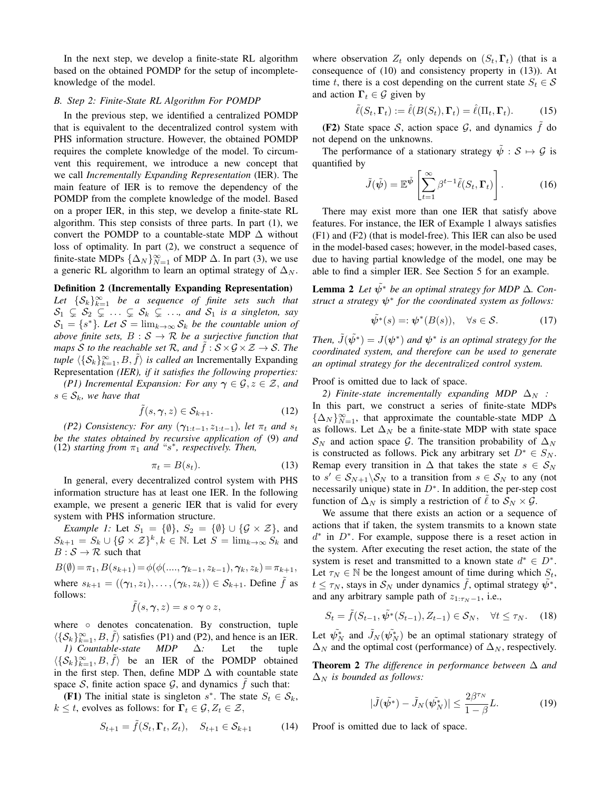In the next step, we develop a finite-state RL algorithm based on the obtained POMDP for the setup of incompleteknowledge of the model.

## *B. Step 2: Finite-State RL Algorithm For POMDP*

In the previous step, we identified a centralized POMDP that is equivalent to the decentralized control system with PHS information structure. However, the obtained POMDP requires the complete knowledge of the model. To circumvent this requirement, we introduce a new concept that we call *Incrementally Expanding Representation* (IER). The main feature of IER is to remove the dependency of the POMDP from the complete knowledge of the model. Based on a proper IER, in this step, we develop a finite-state RL algorithm. This step consists of three parts. In part (1), we convert the POMDP to a countable-state MDP  $\Delta$  without loss of optimality. In part (2), we construct a sequence of finite-state MDPs  $\{\Delta_N\}_{N=1}^{\infty}$  of MDP  $\Delta$ . In part (3), we use a generic RL algorithm to learn an optimal strategy of  $\Delta_N$ .

#### Definition 2 (Incrementally Expanding Representation)

Let  $\{S_k\}_{k=1}^{\infty}$  be a sequence of finite sets such that  $S_1 \subsetneq S_2 \subsetneq \ldots \subsetneq S_k \subsetneq \ldots$ , and  $S_1$  is a singleton, say  $S_1 = \{s^*\}$ . Let  $S = \lim_{k \to \infty} S_k$  be the countable union of *above finite sets,*  $B : S \to R$  *be a surjective function that maps* S *to the reachable set* R, and  $\tilde{f}$  :  $S \times G \times Z \rightarrow S$ . The *tuple*  $\langle {\{S_k\}}_{k=1}^{\infty}, B, \tilde{f} \rangle$  *is called an* Incrementally Expanding Representation *(IER), if it satisfies the following properties:*

*(P1) Incremental Expansion: For any*  $\gamma \in \mathcal{G}, z \in \mathcal{Z}$ *, and*  $s \in \mathcal{S}_k$ *, we have that* 

$$
\tilde{f}(s,\gamma,z) \in \mathcal{S}_{k+1}.\tag{12}
$$

*(P2) Consistency: For any*  $(\gamma_{1:t-1}, z_{1:t-1})$ *, let*  $\pi_t$  *and*  $s_t$ *be the states obtained by recursive application of* (9) *and*  $(12)$  *starting from*  $\pi_1$  *and* "s<sup>\*</sup>, *respectively. Then,* 

$$
\pi_t = B(s_t). \tag{13}
$$

In general, every decentralized control system with PHS information structure has at least one IER. In the following example, we present a generic IER that is valid for every system with PHS information structure.

*Example 1:* Let  $S_1 = \{\emptyset\}$ ,  $S_2 = \{\emptyset\} \cup \{\mathcal{G} \times \mathcal{Z}\}$ , and  $S_{k+1} = S_k \cup \{G \times \mathcal{Z}\}^k, k \in \mathbb{N}$ . Let  $S = \lim_{k \to \infty} S_k$  and  $B : \mathcal{S} \to \mathcal{R}$  such that

 $B(\emptyset) = \pi_1, B(s_{k+1}) = \phi(\phi(..., \gamma_{k-1}, z_{k-1}), \gamma_k, z_k) = \pi_{k+1},$ where  $s_{k+1} = ((\gamma_1, z_1), \ldots, (\gamma_k, z_k)) \in S_{k+1}$ . Define  $\hat{f}$  as follows:

$$
\tilde{f}(s,\boldsymbol{\gamma},z)=s\circ\boldsymbol{\gamma}\circ z,
$$

where o denotes concatenation. By construction, tuple  $\langle {\{\mathcal{S}_k\}}_{k=1}^{\infty}, B, \tilde{f} \rangle$  satisfies (P1) and (P2), and hence is an IER. *1) Countable-state MDP* ∆*:* Let the tuple  $\langle {\{S_k\}}_{k=1}^{\infty}, B, \tilde{f} \rangle$  be an IER of the POMDP obtained in the first step. Then, define MDP  $\Delta$  with countable state space S, finite action space  $\mathcal{G}$ , and dynamics  $\hat{f}$  such that:

**(F1)** The initial state is singleton  $s^*$ . The state  $S_t \in S_k$ ,  $k \leq t$ , evolves as follows: for  $\Gamma_t \in \mathcal{G}, Z_t \in \mathcal{Z}$ ,

$$
S_{t+1} = \tilde{f}(S_t, \Gamma_t, Z_t), \quad S_{t+1} \in \mathcal{S}_{k+1} \tag{14}
$$

where observation  $Z_t$  only depends on  $(S_t, \Gamma_t)$  (that is a consequence of (10) and consistency property in (13)). At time t, there is a cost depending on the current state  $S_t \in \mathcal{S}$ and action  $\Gamma_t \in \mathcal{G}$  given by

$$
\tilde{\ell}(S_t, \Gamma_t) := \hat{\ell}(B(S_t), \Gamma_t) = \hat{\ell}(\Pi_t, \Gamma_t). \tag{15}
$$

(F2) State space S, action space  $\mathcal{G}$ , and dynamics f do not depend on the unknowns.

The performance of a stationary strategy  $\tilde{\psi}: \mathcal{S} \mapsto \mathcal{G}$  is quantified by

$$
\tilde{J}(\tilde{\psi}) = \mathbb{E}^{\tilde{\psi}} \left[ \sum_{t=1}^{\infty} \beta^{t-1} \tilde{\ell}(S_t, \Gamma_t) \right].
$$
 (16)

There may exist more than one IER that satisfy above features. For instance, the IER of Example 1 always satisfies (F1) and (F2) (that is model-free). This IER can also be used in the model-based cases; however, in the model-based cases, due to having partial knowledge of the model, one may be able to find a simpler IER. See Section 5 for an example.

**Lemma 2** Let  $\tilde{\psi}^*$  be an optimal strategy for MDP  $\Delta$ . Con*struct a strategy*  $\psi^*$  *for the coordinated system as follows:* 

$$
\tilde{\psi^*}(s) = : \psi^*(B(s)), \quad \forall s \in \mathcal{S}.
$$
 (17)

Then,  $\tilde{J}(\tilde{\psi^*}) = J(\psi^*)$  and  $\psi^*$  is an optimal strategy for the *coordinated system, and therefore can be used to generate an optimal strategy for the decentralized control system.*

Proof is omitted due to lack of space.

*2) Finite-state incrementally expanding MDP*  $\Delta_N$  *:* In this part, we construct a series of finite-state MDPs  ${\{\Delta_N\}}_{N=1}^{\infty}$ , that approximate the countable-state MDP  $\Delta$ as follows. Let  $\Delta_N$  be a finite-state MDP with state space  $S_N$  and action space G. The transition probability of  $\Delta_N$ is constructed as follows. Pick any arbitrary set  $D^* \in S_N$ . Remap every transition in  $\Delta$  that takes the state  $s \in S_N$ to  $s' \in S_{N+1} \backslash S_N$  to a transition from  $s \in S_N$  to any (not necessarily unique) state in  $D^*$ . In addition, the per-step cost function of  $\Delta_N$  is simply a restriction of  $\ell$  to  $S_N \times \mathcal{G}$ .

We assume that there exists an action or a sequence of actions that if taken, the system transmits to a known state  $d^*$  in  $D^*$ . For example, suppose there is a reset action in the system. After executing the reset action, the state of the system is reset and transmitted to a known state  $d^* \in D^*$ . Let  $\tau_N \in \mathbb{N}$  be the longest amount of time during which  $S_t$ ,  $t \leq \tau_N$ , stays in  $\mathcal{S}_N$  under dynamics f, optimal strategy  $\psi^*$ , and any arbitrary sample path of  $z_{1:\tau_{N}-1}$ , i.e.,

$$
S_t = \tilde{f}(S_{t-1}, \tilde{\psi}^*(S_{t-1}), Z_{t-1}) \in \mathcal{S}_N, \quad \forall t \le \tau_N. \tag{18}
$$

Let  $\tilde{\psi_N^*}$  and  $\tilde{J}_N(\tilde{\psi_N^*})$  be an optimal stationary strategy of  $\Delta_N$  and the optimal cost (performance) of  $\Delta_N$ , respectively.

Theorem 2 *The difference in performance between* ∆ *and*  $\Delta_N$  *is bounded as follows:* 

$$
|\tilde{J}(\tilde{\psi}^*) - \tilde{J}_N(\tilde{\psi}_N^*)| \le \frac{2\beta^{\tau_N}}{1 - \beta}L. \tag{19}
$$

Proof is omitted due to lack of space.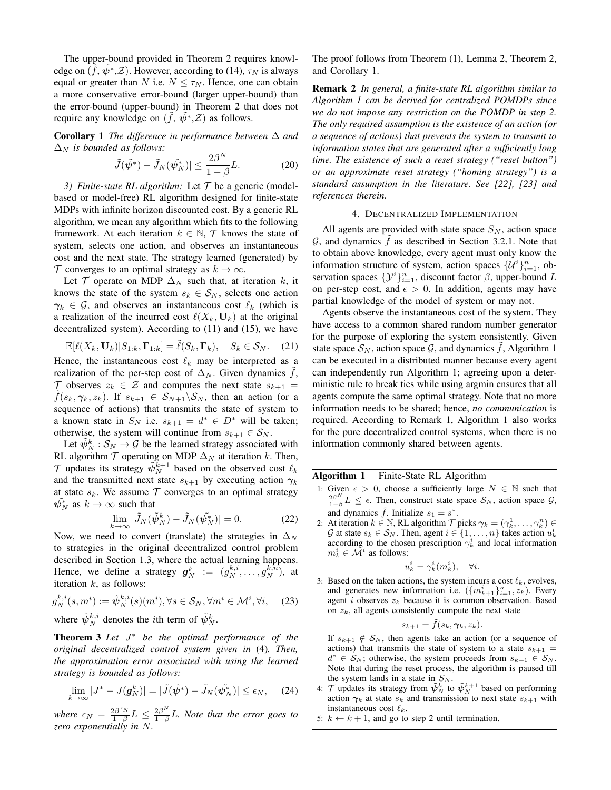The upper-bound provided in Theorem 2 requires knowledge on  $(\tilde{f}, \tilde{\psi^*}, \mathcal{Z})$ . However, according to (14),  $\tau_N$  is always equal or greater than N i.e.  $N \leq \tau_N$ . Hence, one can obtain a more conservative error-bound (larger upper-bound) than the error-bound (upper-bound) in Theorem 2 that does not require any knowledge on  $(\tilde{f}, \tilde{\psi}^*, \mathcal{Z})$  as follows.

Corollary 1 *The difference in performance between* ∆ *and*  $\Delta_N$  *is bounded as follows:* 

$$
|\tilde{J}(\tilde{\psi}^*) - \tilde{J}_N(\tilde{\psi}_N^*)| \le \frac{2\beta^N}{1 - \beta}L. \tag{20}
$$

*3) Finite-state RL algorithm:* Let  $T$  be a generic (modelbased or model-free) RL algorithm designed for finite-state MDPs with infinite horizon discounted cost. By a generic RL algorithm, we mean any algorithm which fits to the following framework. At each iteration  $k \in \mathbb{N}$ , T knows the state of system, selects one action, and observes an instantaneous cost and the next state. The strategy learned (generated) by  $\mathcal T$  converges to an optimal strategy as  $k \to \infty$ .

Let  $\mathcal T$  operate on MDP  $\Delta_N$  such that, at iteration k, it knows the state of the system  $s_k \in S_N$ , selects one action  $\gamma_k \in \mathcal{G}$ , and observes an instantaneous cost  $\ell_k$  (which is a realization of the incurred cost  $\ell(X_k, \mathbf{U}_k)$  at the original decentralized system). According to (11) and (15), we have

$$
\mathbb{E}[\ell(X_k, \mathbf{U}_k)|S_{1:k}, \mathbf{\Gamma}_{1:k}] = \tilde{\ell}(S_k, \mathbf{\Gamma}_k), \quad S_k \in \mathcal{S}_N. \tag{21}
$$

Hence, the instantaneous cost  $\ell_k$  may be interpreted as a realization of the per-step cost of  $\Delta_N$ . Given dynamics f,  $\mathcal T$  observes  $z_k \in \mathcal Z$  and computes the next state  $s_{k+1} =$  $f(s_k, \gamma_k, z_k)$ . If  $s_{k+1} \in S_{N+1}\backslash S_N$ , then an action (or a sequence of actions) that transmits the state of system to a known state in  $S_N$  i.e.  $s_{k+1} = d^* \in D^*$  will be taken; otherwise, the system will continue from  $s_{k+1} \in S_N$ .

Let  $\tilde{\psi}_N^k : \mathcal{S}_N \to \mathcal{G}$  be the learned strategy associated with RL algorithm  $\mathcal T$  operating on MDP  $\Delta_N$  at iteration k. Then,  $\mathcal T$  updates its strategy  $\tilde{\psi}_N^{\bar{k}+1}$  based on the observed cost  $\ell_k$ and the transmitted next state  $s_{k+1}$  by executing action  $\gamma_k$ at state  $s_k$ . We assume  $\mathcal T$  converges to an optimal strategy  $\tilde{\psi_N^*}$  as  $k \to \infty$  such that

$$
\lim_{k \to \infty} |\tilde{J}_N(\tilde{\psi}_N^k) - \tilde{J}_N(\tilde{\psi}_N^*)| = 0.
$$
 (22)

Now, we need to convert (translate) the strategies in  $\Delta_N$ to strategies in the original decentralized control problem described in Section 1.3, where the actual learning happens. Hence, we define a strategy  $g_N^k := (g_N^{k,i}, \ldots, g_N^{k,n})$ , at iteration  $k$ , as follows:

$$
g_N^{k,i}(s,m^i) := \tilde{\psi}_N^{k,i}(s)(m^i), \forall s \in \mathcal{S}_N, \forall m^i \in \mathcal{M}^i, \forall i,
$$
 (23)

where  $\tilde{\psi}_{N}^{k,i}$  denotes the *i*th term of  $\tilde{\psi}_{N}^{k}$ .

Theorem 3 *Let* J ⇤ *be the optimal performance of the original decentralized control system given in* (4)*. Then, the approximation error associated with using the learned strategy is bounded as follows:*

$$
\lim_{k \to \infty} |J^* - J(\mathbf{g}_N^k)| = |\tilde{J}(\tilde{\psi^*}) - \tilde{J}_N(\tilde{\psi_N^*})| \le \epsilon_N, \quad (24)
$$

*where*  $\epsilon_N = \frac{2\beta^{\tau_N}}{1-\beta}$  $\frac{2\beta^{\tau_N}}{1-\beta}L \leq \frac{2\beta^N}{1-\beta}$  $\frac{2\beta}{1-\beta}L$ . Note that the error goes to *zero exponentially in* N*.*

The proof follows from Theorem (1), Lemma 2, Theorem 2, and Corollary 1.

Remark 2 *In general, a finite-state RL algorithm similar to Algorithm 1 can be derived for centralized POMDPs since we do not impose any restriction on the POMDP in step 2. The only required assumption is the existence of an action (or a sequence of actions) that prevents the system to transmit to information states that are generated after a sufficiently long time. The existence of such a reset strategy ("reset button") or an approximate reset strategy ("homing strategy") is a standard assumption in the literature. See [22], [23] and references therein.*

#### 4. DECENTRALIZED IMPLEMENTATION

All agents are provided with state space  $S_N$ , action space  $G$ , and dynamics  $f$  as described in Section 3.2.1. Note that to obtain above knowledge, every agent must only know the information structure of system, action spaces  $\{\mathcal{U}^i\}_{i=1}^n$ , observation spaces  $\{\mathcal{Y}^i\}_{i=1}^n$ , discount factor  $\beta$ , upper-bound L on per-step cost, and  $\epsilon > 0$ . In addition, agents may have partial knowledge of the model of system or may not.

Agents observe the instantaneous cost of the system. They have access to a common shared random number generator for the purpose of exploring the system consistently. Given state space  $S_N$ , action space  $\mathcal G$ , and dynamics f, Algorithm 1 can be executed in a distributed manner because every agent can independently run Algorithm 1; agreeing upon a deterministic rule to break ties while using argmin ensures that all agents compute the same optimal strategy. Note that no more information needs to be shared; hence, *no communication* is required. According to Remark 1, Algorithm 1 also works for the pure decentralized control systems, when there is no information commonly shared between agents.

# Algorithm 1 Finite-State RL Algorithm

- 1: Given  $\epsilon > 0$ , choose a sufficiently large  $N \in \mathbb{N}$  such that  $\frac{2\beta^N}{1-\beta}L \leq \epsilon$ . Then, construct state space  $S_N$ , action space  $\mathcal{G},$ and dynamics  $\tilde{f}$ . Initialize  $s_1 = s^*$ .
- 2: At iteration  $k \in \mathbb{N}$ , RL algorithm  $\mathcal{T}$  picks  $\gamma_k = (\gamma_k^1, \dots, \gamma_k^n) \in$ G at state  $s_k \in S_N$ . Then, agent  $i \in \{1, \ldots, n\}$  takes action  $u_k^i$ according to the chosen prescription  $\gamma_k^i$  and local information  $m_k^i \in \overline{\mathcal{M}}^i$  as follows:

$$
u_k^i = \gamma_k^i(m_k^i), \quad \forall i.
$$

3: Based on the taken actions, the system incurs a cost  $\ell_k$ , evolves, and generates new information i.e.  $(\lbrace m_{k+1}^i \rbrace_{i=1}^n, z_k)$ . Every agent  $i$  observes  $z_k$  because it is common observation. Based on  $z<sub>k</sub>$ , all agents consistently compute the next state

$$
s_{k+1} = \tilde{f}(s_k, \gamma_k, z_k).
$$

If  $s_{k+1} \notin S_N$ , then agents take an action (or a sequence of actions) that transmits the state of system to a state  $s_{k+1} =$  $d^* \in S_N$ ; otherwise, the system proceeds from  $s_{k+1} \in S_N$ . Note that during the reset process, the algorithm is paused till the system lands in a state in  $S_N$ .<br>4:  $\mathcal T$  updates its strategy from  $\tilde{\psi}_N^k$  to  $\tilde{\psi}_N^{k+1}$  based on performing

- action  $\gamma_k$  at state  $s_k$  and transmission to next state  $s_{k+1}$  with instantaneous cost  $\ell_k$ .
- 5:  $k \leftarrow k + 1$ , and go to step 2 until termination.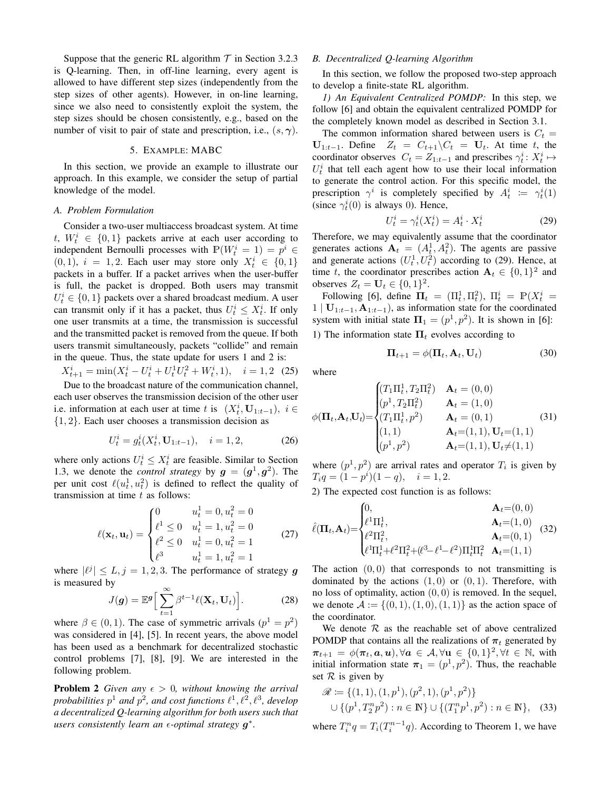Suppose that the generic RL algorithm  $T$  in Section 3.2.3 is Q-learning. Then, in off-line learning, every agent is allowed to have different step sizes (independently from the step sizes of other agents). However, in on-line learning, since we also need to consistently exploit the system, the step sizes should be chosen consistently, e.g., based on the number of visit to pair of state and prescription, i.e.,  $(s, \gamma)$ .

#### 5. EXAMPLE: MABC

In this section, we provide an example to illustrate our approach. In this example, we consider the setup of partial knowledge of the model.

#### *A. Problem Formulation*

Consider a two-user multiaccess broadcast system. At time  $t, W_t^i \in \{0, 1\}$  packets arrive at each user according to independent Bernoulli processes with  $\mathbb{P}(W_t^i = 1) = p^i \in$  $(0, 1)$ ,  $i = 1, 2$ . Each user may store only  $X_t^i \in \{0, 1\}$ packets in a buffer. If a packet arrives when the user-buffer is full, the packet is dropped. Both users may transmit  $U_t^i \in \{0, 1\}$  packets over a shared broadcast medium. A user can transmit only if it has a packet, thus  $U_t^i \leq X_t^i$ . If only one user transmits at a time, the transmission is successful and the transmitted packet is removed from the queue. If both users transmit simultaneously, packets "collide" and remain in the queue. Thus, the state update for users 1 and 2 is:

 $X_{t+1}^i = \min(X_t^i - U_t^i + U_t^1 U_t^2 + W_t^i, 1), \quad i = 1, 2 \tag{25}$ 

Due to the broadcast nature of the communication channel, each user observes the transmission decision of the other user i.e. information at each user at time t is  $(X_t^i, \mathbf{U}_{1:t-1}), i \in$ {1, 2}. Each user chooses a transmission decision as

$$
U_t^i = g_t^i(X_t^i, \mathbf{U}_{1:t-1}), \quad i = 1, 2,
$$
 (26)

where only actions  $U_t^i \leq X_t^i$  are feasible. Similar to Section 1.3, we denote the *control strategy* by  $g = (g^1, g^2)$ . The per unit cost  $\ell(u_t^1, u_t^2)$  is defined to reflect the quality of transmission at time  $t$  as follows:

$$
\ell(\mathbf{x}_t, \mathbf{u}_t) = \begin{cases}\n0 & u_t^1 = 0, u_t^2 = 0 \\
\ell^1 \le 0 & u_t^1 = 1, u_t^2 = 0 \\
\ell^2 \le 0 & u_t^1 = 0, u_t^2 = 1 \\
\ell^3 & u_t^1 = 1, u_t^2 = 1\n\end{cases}
$$
\n(27)

where  $|\ell^j| \leq L$ ,  $j = 1, 2, 3$ . The performance of strategy g is measured by

$$
J(\boldsymbol{g}) = \mathbb{E}^{\boldsymbol{g}} \Big[ \sum_{t=1}^{\infty} \beta^{t-1} \ell(\mathbf{X}_t, \mathbf{U}_t) \Big]. \tag{28}
$$

where  $\beta \in (0, 1)$ . The case of symmetric arrivals  $(p^1 = p^2)$ was considered in [4], [5]. In recent years, the above model has been used as a benchmark for decentralized stochastic control problems [7], [8], [9]. We are interested in the following problem.

**Problem 2** *Given any*  $\epsilon > 0$ *, without knowing the arrival* probabilities  $p^1$  and  $p^2$ , and cost functions  $\ell^1, \ell^2, \ell^3$ , develop *a decentralized Q-learning algorithm for both users such that* users consistently learn an  $\epsilon$ -optimal strategy  $g^*$ .

# *B. Decentralized Q-learning Algorithm*

In this section, we follow the proposed two-step approach to develop a finite-state RL algorithm.

*1) An Equivalent Centralized POMDP:* In this step, we follow [6] and obtain the equivalent centralized POMDP for the completely known model as described in Section 3.1.

The common information shared between users is  $C_t$  =  $U_{1:t-1}$ . Define  $Z_t = C_{t+1} \backslash C_t = U_t$ . At time t, the coordinator observes  $C_t = Z_{1:t-1}$  and prescribes  $\gamma_t^i : X_t^i \mapsto$  $U_t^i$  that tell each agent how to use their local information to generate the control action. For this specific model, the prescription  $\gamma^i$  is completely specified by  $A_t^i := \gamma_t^i(1)$ (since  $\gamma_t^i(0)$  is always 0). Hence,

$$
U_t^i = \gamma_t^i(X_t^i) = A_t^i \cdot X_t^i \tag{29}
$$

Therefore, we may equivalently assume that the coordinator generates actions  $A_t = (A_t^1, A_t^2)$ . The agents are passive and generate actions  $(U_t^1, U_t^2)$  according to (29). Hence, at time t, the coordinator prescribes action  $A_t \in \{0, 1\}^2$  and observes  $Z_t = \mathbf{U}_t \in \{0, 1\}^2$ .

Following [6], define  $\mathbf{\Pi}_t = (\Pi_t^1, \Pi_t^2)$ ,  $\Pi_t^i = \mathbb{P}(X_t^i =$  $1 | U_{1:t-1}, A_{1:t-1}$ , as information state for the coordinated system with initial state  $\Pi_1 = (p^1, p^2)$ . It is shown in [6]: 1) The information state  $\Pi_t$  evolves according to

$$
\Pi_{t+1} = \phi(\Pi_t, \mathbf{A}_t, \mathbf{U}_t)
$$
\n(30)

where

$$
\phi(\mathbf{\Pi}_t, \mathbf{A}_t, \mathbf{U}_t) = \begin{cases}\n(T_1 \Pi_t^1, T_2 \Pi_t^2) & \mathbf{A}_t = (0, 0) \\
(p^1, T_2 \Pi_t^2) & \mathbf{A}_t = (1, 0) \\
(T_1 \Pi_t^1, p^2) & \mathbf{A}_t = (0, 1) \\
(1, 1) & \mathbf{A}_t = (1, 1), \mathbf{U}_t = (1, 1) \\
(p^1, p^2) & \mathbf{A}_t = (1, 1), \mathbf{U}_t \neq (1, 1)\n\end{cases}
$$
\n(31)

where  $(p^1, p^2)$  are arrival rates and operator  $T_i$  is given by  $T_i q = (1 - p^i)(1 - q), \quad i = 1, 2.$ 

2) The expected cost function is as follows:

$$
\hat{\ell}(\mathbf{\Pi}_t, \mathbf{A}_t) = \begin{cases}\n0, & \mathbf{A}_t = (0, 0) \\
\ell^1 \Pi_t^1, & \mathbf{A}_t = (1, 0) \\
\ell^2 \Pi_t^2, & \mathbf{A}_t = (0, 1) \\
\ell^1 \Pi_t^1 + \ell^2 \Pi_t^2 + (\ell^3 - \ell^1 - \ell^2) \Pi_t^1 \Pi_t^2 & \mathbf{A}_t = (1, 1)\n\end{cases}
$$
(32)

The action  $(0, 0)$  that corresponds to not transmitting is dominated by the actions  $(1, 0)$  or  $(0, 1)$ . Therefore, with no loss of optimality, action  $(0, 0)$  is removed. In the sequel, we denote  $A := \{(0, 1), (1, 0), (1, 1)\}\$ as the action space of the coordinator.

We denote  $\mathcal R$  as the reachable set of above centralized POMDP that contains all the realizations of  $\pi_t$  generated by  $\pi_{t+1} = \phi(\pi_t, a, u), \forall a \in \mathcal{A}, \forall u \in \{0, 1\}^2, \forall t \in \mathbb{N}, \text{ with}$ initial information state  $\pi_1 = (p^1, p^2)$ . Thus, the reachable set  $R$  is given by

$$
\mathscr{R} := \{ (1, 1), (1, p^1), (p^2, 1), (p^1, p^2) \} \cup \{ (p^1, T_2^n p^2) : n \in \mathbb{N} \} \cup \{ (T_1^n p^1, p^2) : n \in \mathbb{N} \}, \quad (33)
$$

where  $T_i^n q = T_i(T_i^{n-1}q)$ . According to Theorem 1, we have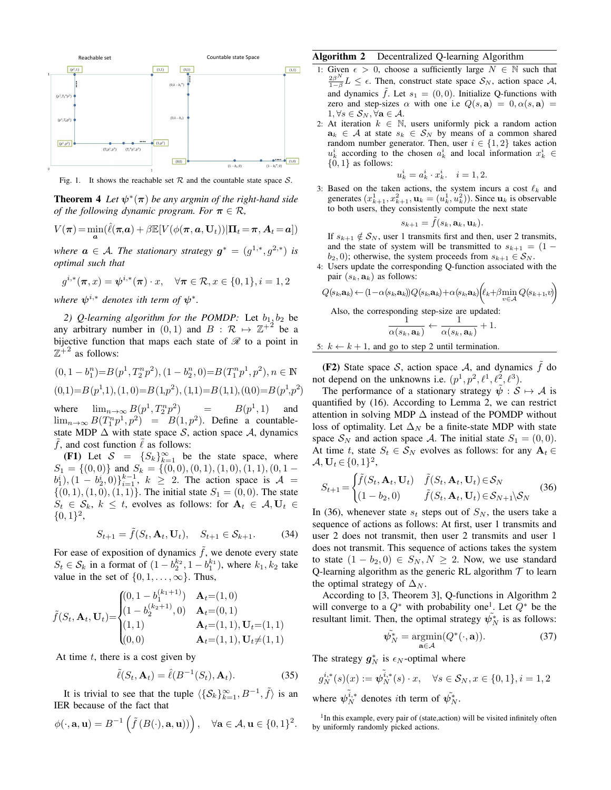

Fig. 1. It shows the reachable set  $R$  and the countable state space  $S$ .

**Theorem 4** Let  $\psi^*(\pi)$  be any argmin of the right-hand side *of the following dynamic program. For*  $\pi \in \mathcal{R}$ ,

$$
V(\boldsymbol{\pi}) = \min_{\boldsymbol{a}} (\hat{\ell}(\boldsymbol{\pi}, \boldsymbol{a}) + \beta \mathbb{E}[V(\phi(\boldsymbol{\pi}, \boldsymbol{a}, \mathbf{U}_t)) | \boldsymbol{\Pi}_t = \boldsymbol{\pi}, \boldsymbol{A}_t = \boldsymbol{a}])
$$

*where*  $a \in \mathcal{A}$ *. The stationary strategy*  $g^* = (g^{1,*}, g^{2,*})$  *is optimal such that*

$$
g^{i,*}(\pi, x) = \psi^{i,*}(\pi) \cdot x, \quad \forall \pi \in \mathcal{R}, x \in \{0, 1\}, i = 1, 2
$$

where  $\psi^{i,*}$  denotes ith term of  $\psi^*$ .

2) Q-learning algorithm for the POMDP: Let  $b_1$ ,  $b_2$  be any arbitrary number in  $(0,1)$  and  $B: \mathcal{R} \mapsto \mathbb{Z}^{+2}$  be a bijective function that maps each state of  $\mathcal R$  to a point in  $\mathbb{Z}^+$ <sup>2</sup> as follows:

$$
(0, 1 - b_1^n) = B(p^1, T_2^n p^2), (1 - b_2^n, 0) = B(T_1^n p^1, p^2), n \in \mathbb{N}
$$
  

$$
(0, 1) = B(p^1, 1), (1, 0) = B(1, p^2), (1, 1) = B(1, 1), (0, 0) = B(p^1, p^2)
$$

where  $\lim_{n\to\infty} B(p^1, T_2^n p^2)$  $\lambda = \frac{1}{2}$  $(1, 1)$  and  $\lim_{n\to\infty} B(T_1^n p^1, p^2) = B(1, p^2)$ . Define a countablestate MDP  $\Delta$  with state space S, action space A, dynamics f, and cost function  $\ell$  as follows:

(F1) Let  $S = \{S_k\}_{k=1}^{\infty}$  be the state space, where  $S_1 = \{(0,0)\}\$ and  $S_k = \{(0,0), (0,1), (1,0), (1,1), (0,1)$  $b_1^i$ ,  $(1 - b_2^i, 0)$ <sub>i</sub> $_{i=1}^{k-1}$ ,  $k \ge 2$ . The action space is  $A =$  $\{(0, 1), (1, 0), (1, 1)\}.$  The initial state  $S_1 = (0, 0)$ . The state  $S_t \in \mathcal{S}_k$ ,  $k \leq t$ , evolves as follows: for  $\mathbf{A}_t \in \mathcal{A}, \mathbf{U}_t \in$  $\{0,1\}^2$ ,

$$
S_{t+1} = \tilde{f}(S_t, \mathbf{A}_t, \mathbf{U}_t), \quad S_{t+1} \in \mathcal{S}_{k+1}.
$$
 (34)

For ease of exposition of dynamics  $\hat{f}$ , we denote every state  $S_t \in S_k$  in a format of  $(1 - b_2^{k_2}, 1 - b_1^{k_1})$ , where  $k_1, k_2$  take value in the set of  $\{0, 1, \ldots, \infty\}$ . Thus,

$$
\tilde{f}(S_t, \mathbf{A}_t, \mathbf{U}_t) = \begin{cases}\n(0, 1 - b_1^{(k_1 + 1)}) & \mathbf{A}_t = (1, 0) \\
(1 - b_2^{(k_2 + 1)}, 0) & \mathbf{A}_t = (0, 1) \\
(1, 1) & \mathbf{A}_t = (1, 1), \mathbf{U}_t = (1, 1) \\
(0, 0) & \mathbf{A}_t = (1, 1), \mathbf{U}_t \neq (1, 1)\n\end{cases}
$$

 $(k+1)$ 

At time  $t$ , there is a cost given by

$$
\tilde{\ell}(S_t, \mathbf{A}_t) = \hat{\ell}(B^{-1}(S_t), \mathbf{A}_t). \tag{35}
$$

It is trivial to see that the tuple  $\langle {\{S_k\}}_{k=1}^{\infty}, B^{-1}, \tilde{f} \rangle$  is an IER because of the fact that

$$
\phi(\cdot, \mathbf{a}, \mathbf{u}) = B^{-1}\left(\tilde{f}(B(\cdot), \mathbf{a}, \mathbf{u}))\right), \quad \forall \mathbf{a} \in \mathcal{A}, \mathbf{u} \in \{0, 1\}^2.
$$

# Algorithm 2 Decentralized Q-learning Algorithm

- 1: Given  $\epsilon > 0$ , choose a sufficiently large  $N \in \mathbb{N}$  such that  $\frac{2\beta^N}{1-\beta}L \leq \epsilon$ . Then, construct state space  $S_N$ , action space A, and dynamics  $\tilde{f}$ . Let  $s_1 = (0, 0)$ . Initialize Q-functions with zero and step-sizes  $\alpha$  with one i.e  $Q(s, a) = 0, \alpha(s, a) =$  $1, \forall s \in \mathcal{S}_N, \forall \mathbf{a} \in \mathcal{A}.$
- 2: At iteration  $k \in \mathbb{N}$ , users uniformly pick a random action  $a_k \in A$  at state  $s_k \in S_N$  by means of a common shared random number generator. Then, user  $i \in \{1,2\}$  takes action  $u_k^i$  according to the chosen  $a_k^i$  and local information  $x_k^i$   $\in$  $\{0, 1\}$  as follows:

$$
u_k^i = a_k^i \cdot x_k^i, \quad i = 1, 2.
$$

3: Based on the taken actions, the system incurs a cost  $\ell_k$  and generates  $(x_{k+1}^1, x_{k+1}^2, \mathbf{u}_k = (u_k^1, u_k^2)$ ). Since  $\mathbf{u}_k$  is observable to both users, they consistently compute the next state

$$
s_{k+1} = \tilde{f}(s_k, \mathbf{a}_k, \mathbf{u}_k).
$$

If  $s_{k+1} \notin S_N$ , user 1 transmits first and then, user 2 transmits, and the state of system will be transmitted to  $s_{k+1} = (1$  $b_2, 0$ ); otherwise, the system proceeds from  $s_{k+1} \in S_N$ .

4: Users update the corresponding Q-function associated with the pair  $(s_k, \mathbf{a}_k)$  as follows:

$$
Q(s_k, \mathbf{a}_k) \leftarrow (1 - \alpha(s_k, \mathbf{a}_k)) Q(s_k, \mathbf{a}_k) + \alpha(s_k, \mathbf{a}_k) \left(\ell_k + \beta \min_{v \in A} Q(s_{k+1}, v)\right)
$$
  
Also, the corresponding step-size are updated:

$$
\frac{1}{\alpha(s_k, \mathbf{a}_k)} \leftarrow \frac{1}{\alpha(s_k, \mathbf{a}_k)} + 1.
$$

5: 
$$
k \leftarrow k + 1
$$
, and go to step 2 until termination.

(F2) State space S, action space A, and dynamics  $\tilde{f}$  do not depend on the unknowns i.e.  $(p^1, p^2, \ell^1, \ell^2, \ell^3)$ .

The performance of a stationary strategy  $\psi : \mathcal{S} \mapsto \mathcal{A}$  is quantified by (16). According to Lemma 2, we can restrict attention in solving MDP  $\Delta$  instead of the POMDP without loss of optimality. Let  $\Delta_N$  be a finite-state MDP with state space  $S_N$  and action space A. The initial state  $S_1 = (0, 0)$ . At time t, state  $S_t \in S_N$  evolves as follows: for any  $A_t \in$  $A, U_t \in \{0, 1\}^2,$ 

$$
S_{t+1} = \begin{cases} \tilde{f}(S_t, \mathbf{A}_t, \mathbf{U}_t) & \tilde{f}(S_t, \mathbf{A}_t, \mathbf{U}_t) \in \mathcal{S}_N \\ (1 - b_2, 0) & \tilde{f}(S_t, \mathbf{A}_t, \mathbf{U}_t) \in \mathcal{S}_{N+1} \backslash \mathcal{S}_N \end{cases}
$$
(36)

In (36), whenever state  $s_t$  steps out of  $S_N$ , the users take a sequence of actions as follows: At first, user 1 transmits and user 2 does not transmit, then user 2 transmits and user 1 does not transmit. This sequence of actions takes the system to state  $(1 - b_2, 0) \in S_N, N \geq 2$ . Now, we use standard Q-learning algorithm as the generic RL algorithm  $T$  to learn the optimal strategy of  $\Delta_N$ .

According to [3, Theorem 3], Q-functions in Algorithm 2 will converge to a  $Q^*$  with probability one<sup>1</sup>. Let  $Q^*$  be the resultant limit. Then, the optimal strategy  $\tilde{\psi_N}$  is as follows:

$$
\tilde{\psi}_N^* = \underset{\mathbf{a} \in \mathcal{A}}{\operatorname{argmin}} (Q^*(\cdot, \mathbf{a})). \tag{37}
$$

The strategy  $g_N^*$  is  $\epsilon_N$ -optimal where

$$
g_N^{i,*}(s)(x) := \tilde{\psi}_N^{\tilde{i},*}(s) \cdot x, \quad \forall s \in \mathcal{S}_N, x \in \{0, 1\}, i = 1, 2
$$
  
where  $\tilde{\psi}_N^{\tilde{i},*}$  denotes *i*th term of  $\tilde{\psi}_N^*$ .

<sup>1</sup>In this example, every pair of (state, action) will be visited infinitely often by uniformly randomly picked actions.